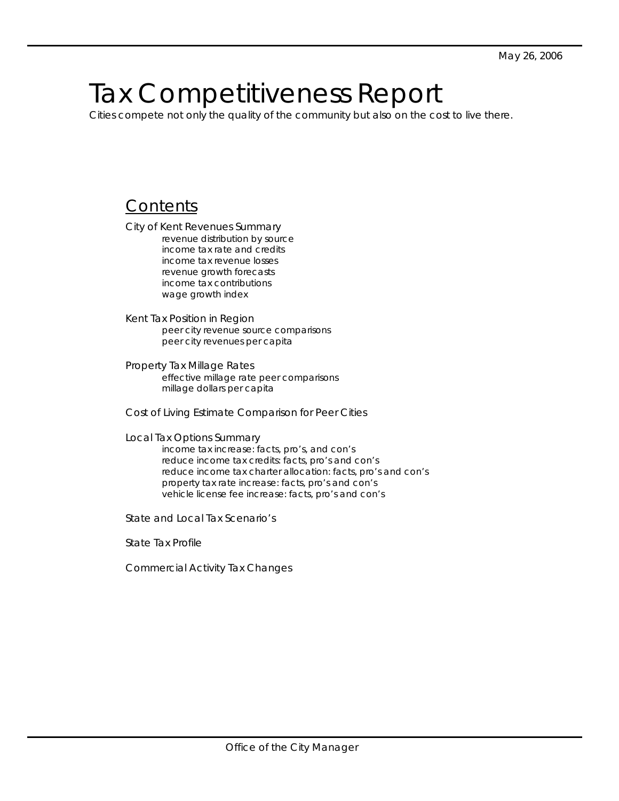# Tax Competitiveness Report

Cities compete not only the quality of the community but also on the cost to live there.

### **Contents**

City of Kent Revenues Summary revenue distribution by source income tax rate and credits income tax revenue losses revenue growth forecasts income tax contributions wage growth index

Kent Tax Position in Region peer city revenue source comparisons peer city revenues per capita

Property Tax Millage Rates effective millage rate peer comparisons millage dollars per capita

Cost of Living Estimate Comparison for Peer Cities

Local Tax Options Summary

income tax increase: facts, pro's, and con's reduce income tax credits: facts, pro's and con's reduce income tax charter allocation: facts, pro's and con's property tax rate increase: facts, pro's and con's vehicle license fee increase: facts, pro's and con's

State and Local Tax Scenario's

State Tax Profile

Commercial Activity Tax Changes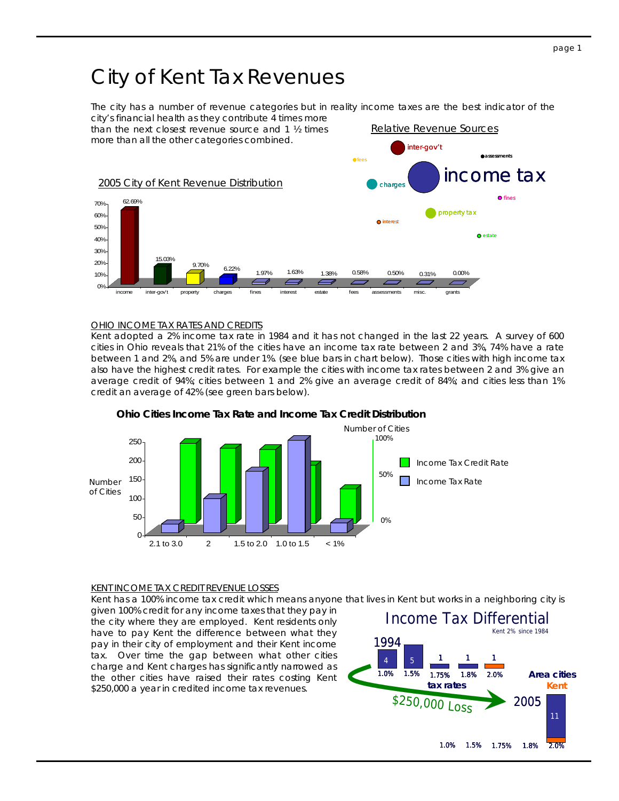# City of Kent Tax Revenues

The city has a number of revenue categories but in reality income taxes are the best indicator of the city's financial health as they contribute 4 times more



#### OHIO INCOME TAX RATES AND CREDITS

Kent adopted a 2% income tax rate in 1984 and it has not changed in the last 22 years. A survey of 600 cities in Ohio reveals that 21% of the cities have an income tax rate between 2 and 3%, 74% have a rate between 1 and 2%, and 5% are under 1%. (see blue bars in chart below). Those cities with high income tax also have the highest credit rates. For example the cities with income tax rates between 2 and 3% give an average credit of 94%; cities between 1 and 2% give an average credit of 84%; and cities less than 1% credit an average of 42% (see green bars below).



### **Ohio Cities Income Tax Rate and Income Tax Credit Distribution**

#### KENT INCOME TAX CREDIT REVENUE LOSSES

Kent has a 100% income tax credit which means anyone that lives in Kent but works in a neighboring city is

given 100% credit for any income taxes that they pay in the city where they are employed. Kent residents only have to pay Kent the difference between what they pay in their city of employment and their Kent income tax. Over time the gap between what other cities charge and Kent charges has significantly narrowed as the other cities have raised their rates costing Kent \$250,000 a year in credited income tax revenues.

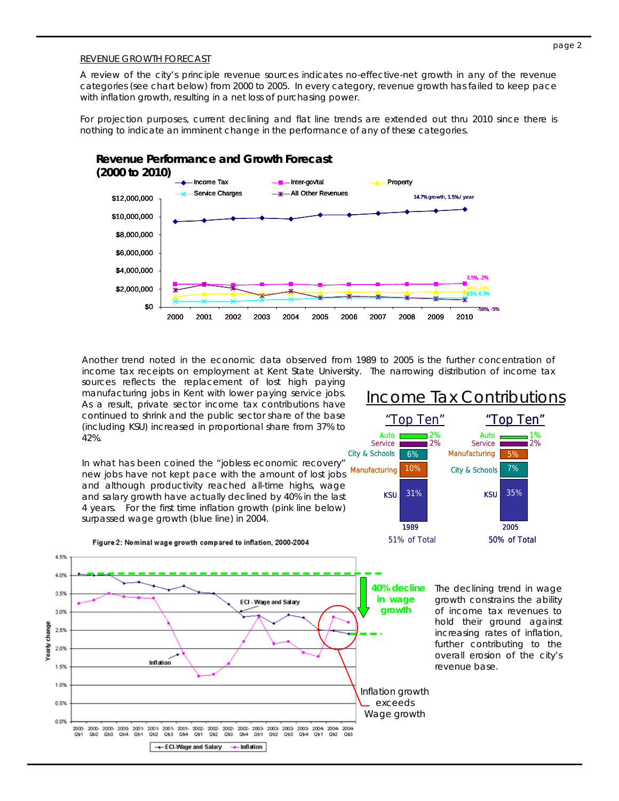#### REVENUE GROWTH FORECAST

A review of the city's principle revenue sources indicates no-effective-net growth in any of the revenue categories (see chart below) from 2000 to 2005. In every category, revenue growth has failed to keep pace with inflation growth, resulting in a net loss of purchasing power.

For projection purposes, current declining and flat line trends are extended out thru 2010 since there is nothing to indicate an imminent change in the performance of any of these categories.



Another trend noted in the economic data observed from 1989 to 2005 is the further concentration of income tax receipts on employment at Kent State University. The narrowing distribution of income tax

sources reflects the replacement of lost high paying manufacturing jobs in Kent with lower paying service jobs. As a result, private sector income tax contributions have continued to shrink and the public sector share of the base (including KSU) increased in proportional share from 37% to 42%.

In what has been coined the "jobless economic recovery" new jobs have not kept pace with the amount of lost jobs and although productivity reached all-time highs, wage and salary growth have actually declined by 40% in the last 4 years. For the first time inflation growth (pink line below) surpassed wage growth (blue line) in 2004.

Figure 2: Nominal wage growth compared to inflation, 2000-2004



51% of Total "Top Ten" 1989 31% City & Schools KSU 6% Manufacturing 10% Service **Auto** 50% of Total "Top Ten" 2005 35% Manufacturing KSU 5% City & Schools 7% Service **Auto** Income Tax Contributions

> The declining trend in wage growth constrains the ability of income tax revenues to hold their ground against increasing rates of inflation, further contributing to the overall erosion of the city's revenue base.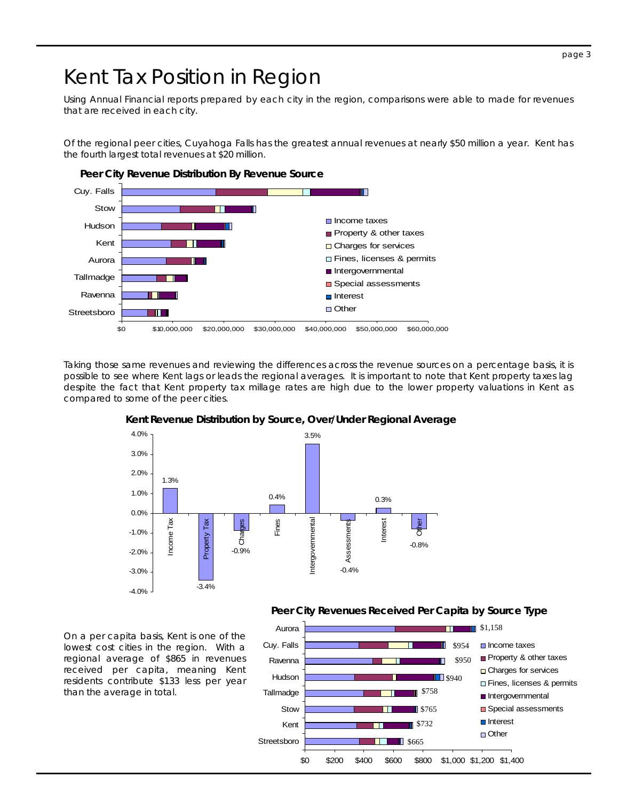#### page 3

# Kent Tax Position in Region

Using Annual Financial reports prepared by each city in the region, comparisons were able to made for revenues that are received in each city.

Of the regional peer cities, Cuyahoga Falls has the greatest annual revenues at nearly \$50 million a year. Kent has the fourth largest total revenues at \$20 million.



Taking those same revenues and reviewing the differences across the revenue sources on a percentage basis, it is possible to see where Kent lags or leads the regional averages. It is important to note that Kent property taxes lag despite the fact that Kent property tax millage rates are high due to the lower property valuations in Kent as compared to some of the peer cities.



#### **Kent Revenue Distribution by Source, Over/Under Regional Average**

**Peer City Revenues Received Per Capita by Source Type** 

On a per capita basis, Kent is one of the lowest cost cities in the region. With a regional average of \$865 in revenues received per capita, meaning Kent residents contribute \$133 less per year than the average in total.

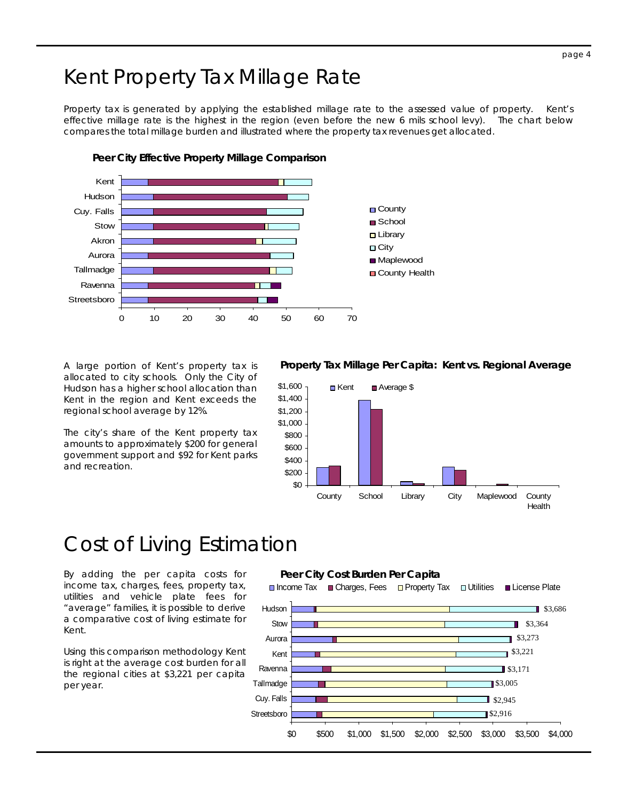# Kent Property Tax Millage Rate

Property tax is generated by applying the established millage rate to the assessed value of property. Kent's effective millage rate is the highest in the region (even before the new 6 mils school levy). The chart below compares the total millage burden and illustrated where the property tax revenues get allocated.



**Peer City Effective Property Millage Comparison** 

A large portion of Kent's property tax is allocated to city schools. Only the City of Hudson has a higher school allocation than Kent in the region and Kent exceeds the regional school average by 12%.

The city's share of the Kent property tax amounts to approximately \$200 for general government support and \$92 for Kent parks and recreation.

#### **Property Tax Millage Per Capita: Kent vs. Regional Average**



# Cost of Living Estimation

By adding the per capita costs for income tax, charges, fees, property tax, utilities and vehicle plate fees for "average" families, it is possible to derive a comparative cost of living estimate for Kent.

Using this comparison methodology Kent is right at the average cost burden for all the regional cities at \$3,221 per capita per year.

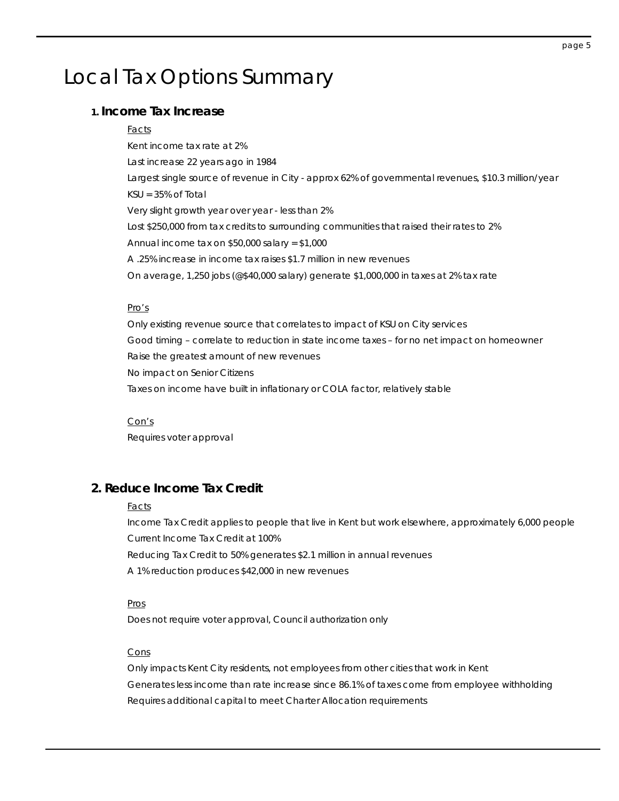# Local Tax Options Summary

### **1. Income Tax Increase**

#### Facts

Kent income tax rate at 2% Last increase 22 years ago in 1984 Largest single source of revenue in City - approx 62% of governmental revenues, \$10.3 million/year KSU = 35% of Total Very slight growth year over year - less than 2% Lost \$250,000 from tax credits to surrounding communities that raised their rates to 2% Annual income tax on \$50,000 salary = \$1,000 A .25% increase in income tax raises \$1.7 million in new revenues On average, 1,250 jobs (@\$40,000 salary) generate \$1,000,000 in taxes at 2% tax rate

#### Pro's

Only existing revenue source that correlates to impact of KSU on City services Good timing – correlate to reduction in state income taxes – for no net impact on homeowner Raise the greatest amount of new revenues No impact on Senior Citizens Taxes on income have built in inflationary or COLA factor, relatively stable

 Con's Requires voter approval

### **2. Reduce Income Tax Credit**

#### **Facts**

Income Tax Credit applies to people that live in Kent but work elsewhere, approximately 6,000 people Current Income Tax Credit at 100%

Reducing Tax Credit to 50% generates \$2.1 million in annual revenues

A 1% reduction produces \$42,000 in new revenues

#### Pros

Does not require voter approval, Council authorization only

#### Cons

Only impacts Kent City residents, not employees from other cities that work in Kent Generates less income than rate increase since 86.1% of taxes come from employee withholding Requires additional capital to meet Charter Allocation requirements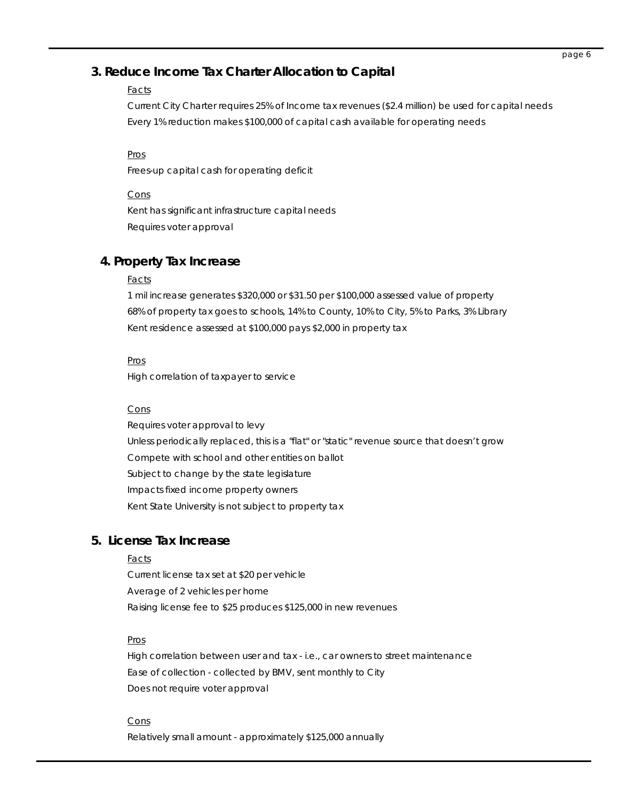### **3. Reduce Income Tax Charter Allocation to Capital**

### **Facts**

Current City Charter requires 25% of Income tax revenues (\$2.4 million) be used for capital needs Every 1% reduction makes \$100,000 of capital cash available for operating needs

 Pros Frees-up capital cash for operating deficit

**Cons** Kent has significant infrastructure capital needs Requires voter approval

### **4. Property Tax Increase**

#### **Facts**

1 mil increase generates \$320,000 or \$31.50 per \$100,000 assessed value of property 68% of property tax goes to schools, 14% to County, 10% to City, 5% to Parks, 3% Library Kent residence assessed at \$100,000 pays \$2,000 in property tax

#### Pros

High correlation of taxpayer to service

#### Cons

 Requires voter approval to levy Unless periodically replaced, this is a "flat" or "static" revenue source that doesn't grow Compete with school and other entities on ballot Subject to change by the state legislature Impacts fixed income property owners Kent State University is not subject to property tax

### **5. License Tax Increase**

#### Facts

Current license tax set at \$20 per vehicle Average of 2 vehicles per home Raising license fee to \$25 produces \$125,000 in new revenues

#### Pros

High correlation between user and tax - i.e., car owners to street maintenance Ease of collection - collected by BMV, sent monthly to City Does not require voter approval

#### **Cons**

Relatively small amount - approximately \$125,000 annually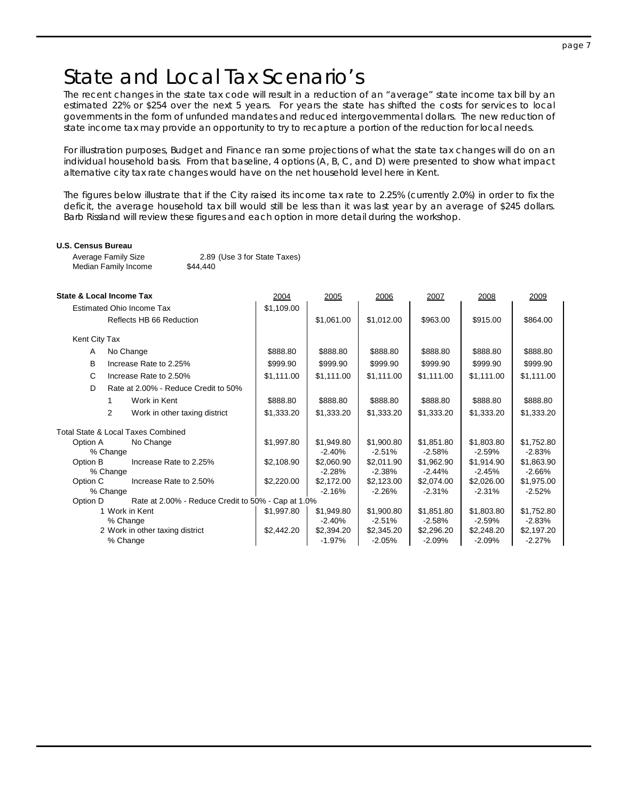# State and Local Tax Scenario's

The recent changes in the state tax code will result in a reduction of an "average" state income tax bill by an estimated 22% or \$254 over the next 5 years. For years the state has shifted the costs for services to local governments in the form of unfunded mandates and reduced intergovernmental dollars. The new reduction of state income tax may provide an opportunity to try to recapture a portion of the reduction for local needs.

For illustration purposes, Budget and Finance ran some projections of what the state tax changes will do on an individual household basis. From that baseline, 4 options (A, B, C, and D) were presented to show what impact alternative city tax rate changes would have on the net household level here in Kent.

The figures below illustrate that if the City raised its income tax rate to 2.25% (currently 2.0%) in order to fix the deficit, the average household tax bill would still be less than it was last year by an average of \$245 dollars. Barb Rissland will review these figures and each option in more detail during the workshop.

#### **U.S. Census Bureau**

Average Family Size 2.89 (Use 3 for State Taxes) Median Family Income \$44,440

| State & Local Income Tax         |                                                    | 2004       | 2005       | 2006       | 2007       | 2008       | 2009       |
|----------------------------------|----------------------------------------------------|------------|------------|------------|------------|------------|------------|
| <b>Estimated Ohio Income Tax</b> |                                                    | \$1,109.00 |            |            |            |            |            |
|                                  | Reflects HB 66 Reduction                           |            | \$1,061.00 | \$1,012.00 | \$963.00   | \$915.00   | \$864.00   |
| Kent City Tax                    |                                                    |            |            |            |            |            |            |
| A                                | No Change                                          | \$888.80   | \$888.80   | \$888.80   | \$888.80   | \$888.80   | \$888.80   |
| B                                | Increase Rate to 2.25%                             | \$999.90   | \$999.90   | \$999.90   | \$999.90   | \$999.90   | \$999.90   |
| C                                | Increase Rate to 2.50%                             | \$1,111.00 | \$1,111.00 | \$1,111.00 | \$1,111.00 | \$1,111.00 | \$1,111.00 |
| D                                | Rate at 2.00% - Reduce Credit to 50%               |            |            |            |            |            |            |
|                                  | Work in Kent<br>1.                                 | \$888.80   | \$888.80   | \$888.80   | \$888.80   | \$888.80   | \$888.80   |
|                                  | $\overline{2}$<br>Work in other taxing district    | \$1,333.20 | \$1,333.20 | \$1,333.20 | \$1,333.20 | \$1,333.20 | \$1,333.20 |
|                                  | <b>Total State &amp; Local Taxes Combined</b>      |            |            |            |            |            |            |
| Option A                         | No Change                                          | \$1,997.80 | \$1,949.80 | \$1,900.80 | \$1,851.80 | \$1,803.80 | \$1,752.80 |
|                                  | % Change                                           |            | $-2.40%$   | $-2.51%$   | $-2.58%$   | $-2.59%$   | $-2.83%$   |
| Option B                         | Increase Rate to 2.25%                             | \$2,108.90 | \$2,060.90 | \$2,011.90 | \$1,962.90 | \$1,914.90 | \$1,863.90 |
|                                  | % Change                                           |            | $-2.28%$   | $-2.38%$   | $-2.44%$   | $-2.45%$   | $-2.66%$   |
| Option C                         | Increase Rate to 2.50%                             | \$2,220.00 | \$2,172.00 | \$2,123.00 | \$2,074.00 | \$2,026.00 | \$1,975.00 |
|                                  | % Change                                           |            | $-2.16%$   | $-2.26%$   | $-2.31%$   | $-2.31%$   | $-2.52%$   |
| Option D                         | Rate at 2.00% - Reduce Credit to 50% - Cap at 1.0% |            |            |            |            |            |            |
| 1 Work in Kent                   |                                                    | \$1,997.80 | \$1,949.80 | \$1,900.80 | \$1,851.80 | \$1,803.80 | \$1,752.80 |
|                                  | % Change                                           |            | $-2.40%$   | $-2.51%$   | $-2.58%$   | $-2.59%$   | $-2.83%$   |
|                                  | 2 Work in other taxing district                    | \$2,442.20 | \$2,394.20 | \$2,345.20 | \$2,296.20 | \$2,248.20 | \$2,197.20 |
|                                  | % Change                                           |            | $-1.97%$   | $-2.05%$   | $-2.09%$   | $-2.09%$   | $-2.27%$   |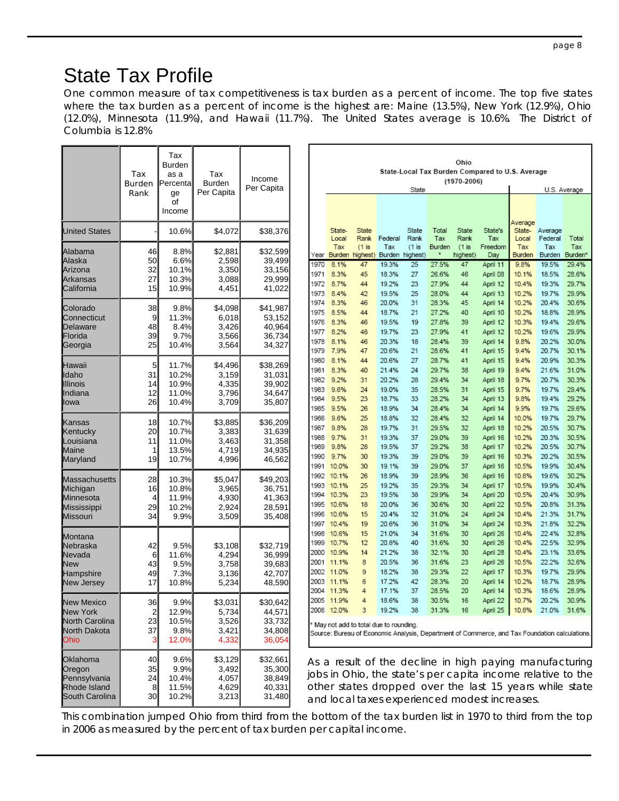# State Tax Profile

One common measure of tax competitiveness is tax burden as a percent of income. The top five states where the tax burden as a percent of income is the highest are: Maine (13.5%), New York (12.9%), Ohio (12.0%), Minnesota (11.9%), and Hawaii (11.7%). The United States average is 10.6%. The District of Columbia is 12.8%

|                                                                          | Tax<br>Burden<br>Rank      | Tax<br><b>Burden</b><br>as a<br>Percental<br>ge<br>οf<br>Income | Tax<br><b>Burden</b><br>Per Capita          | Income<br>Per Capita                             |                                              |                                                                  |                                             |                                                             | State                                  |                                                             | Ohio<br>$(1970 - 2006)$                     | State-Local Tax Burden Compared to U.S. Average                                                                       |                                                             |                                                             | U.S. Average                                                                                                           |
|--------------------------------------------------------------------------|----------------------------|-----------------------------------------------------------------|---------------------------------------------|--------------------------------------------------|----------------------------------------------|------------------------------------------------------------------|---------------------------------------------|-------------------------------------------------------------|----------------------------------------|-------------------------------------------------------------|---------------------------------------------|-----------------------------------------------------------------------------------------------------------------------|-------------------------------------------------------------|-------------------------------------------------------------|------------------------------------------------------------------------------------------------------------------------|
| <b>United States</b>                                                     |                            | 10.6%                                                           | \$4,072                                     | \$38,376                                         |                                              | State-<br>Local                                                  | <b>State</b><br>Rank                        | Federal                                                     | State<br>Rank                          | Total<br>Tax                                                | State<br>Rank                               | State's<br>Tax                                                                                                        | Average<br>State-<br>Local                                  | Average<br>Federal                                          | Total                                                                                                                  |
| Alabama<br>Alaska<br>Arizona<br>Arkansas<br>California                   | 46<br>50<br>32<br>27<br>15 | 8.8%<br>6.6%<br>10.1%<br>10.3%<br>10.9%                         | \$2,881<br>2,598<br>3,350<br>3,088<br>4,451 | \$32,599<br>39,499<br>33,156<br>29,999<br>41,022 | Year<br>1970<br>1971<br>1972<br>1973         | Tax<br>Burden<br>8.1%<br>8.3%<br>8.7%<br>8.4%                    | $(1$ is<br>highest)<br>47<br>45<br>44<br>42 | Tax<br>Burden highest)<br>19.3%<br>18.3%<br>19.2%<br>19.5%  | $(1$ is<br>25<br>27<br>23<br>25        | Burden<br>27.5%<br>26.6%<br>27.9%<br>28.0%                  | $(1$ is<br>highest)<br>47<br>46<br>44<br>44 | Freedom<br>Day<br>April 11<br>April 08<br>April 12<br>April 13                                                        | Tax<br>Burden<br>9.8%<br>10.1%<br>10.4%<br>10.2%            | Tax<br>Burden<br>19.5%<br>18.5%<br>19.3%<br>19.7%           | Tax<br>Burden <sup>*</sup><br>29.4%<br>28.6%<br>29.7%<br>29.9%                                                         |
| Colorado<br>Connecticut<br>Delaware<br>Florida<br>Georgia                | 38<br>9<br>48<br>39<br>25  | 9.8%<br>11.3%<br>8.4%<br>9.7%<br>10.4%                          | \$4,098<br>6,018<br>3,426<br>3,566<br>3,564 | \$41,987<br>53,152<br>40,964<br>36,734<br>34,327 | 1974<br>1975<br>1976<br>1977<br>1978<br>1979 | 8.3%<br>8.5%<br>8.3%<br>8.2%<br>8.1%<br>7.9%                     | 46<br>44<br>46<br>48<br>46<br>47            | 20.0%<br>18.7%<br>19.5%<br>19.7%<br>20.3%<br>20.6%          | 31<br>21<br>19<br>23<br>18<br>21       | 28.3%<br>27.2%<br>27.8%<br>27.9%<br>28.4%<br>28.6%          | 45<br>40<br>39<br>41<br>39<br>41            | April 14<br>April 10<br>April 12<br>April 12<br>April 14<br>April 15                                                  | 10.2%<br>10.2%<br>10.3%<br>10.2%<br>9.8%<br>9.4%            | 20.4%<br>18.8%<br>19.4%<br>19.6%<br>20.2%<br>20.7%          | 30.6%<br>28.9%<br>29.6%<br>29.9%<br>30.0%<br>30.1%                                                                     |
| Hawaii<br>Idaho<br>Illinois<br>Indiana<br>lowa                           | 5<br>31<br>14<br>12<br>26  | 11.7%<br>10.2%<br>10.9%<br>11.0%<br>10.4%                       | \$4,496<br>3,159<br>4,335<br>3,796<br>3,709 | \$38,269<br>31,031<br>39,902<br>34,647<br>35,807 | 1980<br>1981<br>1982<br>1983<br>1984<br>1985 | 8.1%<br>8.3%<br>9.2%<br>9.6%<br>9.5%<br>9.5%                     | 44<br>40<br>31<br>24<br>23<br>26            | 20.6%<br>21.4%<br>20.2%<br>19.0%<br>18.7%<br>18.9%          | 27<br>24<br>28<br>35<br>33<br>34       | 28.7%<br>29.7%<br>29.4%<br>28.5%<br>28.2%<br>28.4%          | 41<br>38<br>34<br>31<br>34<br>34            | April 15<br>April 19<br>April 18<br>April 15<br>April 13<br>April 14                                                  | 9.4%<br>9.4%<br>9.7%<br>9.7%<br>9.8%<br>9.9%                | 20.9%<br>21.6%<br>20.7%<br>19.7%<br>19.4%<br>19.7%          | 30.3%<br>31.0%<br>30.3%<br>29.4%<br>29.2%<br>29.6%                                                                     |
| Kansas<br>Kentucky<br>Louisiana<br>Maine<br>Maryland                     | 18<br>20<br>11<br>1<br>19  | 10.7%<br>10.7%<br>11.0%<br>13.5%<br>10.7%                       | \$3,885<br>3,383<br>3,463<br>4,719<br>4,996 | \$36,209<br>31,639<br>31,358<br>34,935<br>46,562 | 1986<br>1987<br>1988<br>1989<br>1990<br>1991 | 9.6%<br>9.8%<br>9.7%<br>9.8%<br>9.7%<br>10.0%                    | 25<br>28<br>31<br>28<br>30<br>30            | 18.8%<br>19.7%<br>19.3%<br>19.5%<br>19.3%<br>19.1%          | 32<br>31<br>37<br>37<br>39<br>39       | 28.4%<br>29.5%<br>29.0%<br>29.2%<br>29.0%<br>29.0%          | 32<br>32<br>39<br>38<br>39<br>37            | April 14<br>April 18<br>April 16<br>April 17<br>April 16<br>April 16                                                  | 10.0%<br>10.2%<br>10.2%<br>10.2%<br>10.3%<br>10.5%          | 19.7%<br>20.5%<br>20.3%<br>20.5%<br>20.2%<br>19.9%          | 29.7%<br>30.7%<br>30.5%<br>30.7%<br>30.5%<br>30.4%                                                                     |
| <b>Massachusetts</b><br>Michigan<br>Minnesota<br>Mississippi<br>Missouri | 28<br>16<br>4<br>29<br>34  | 10.3%<br>10.8%<br>11.9%<br>10.2%<br>9.9%                        | \$5,047<br>3,965<br>4,930<br>2,924<br>3,509 | \$49,203<br>36,751<br>41,363<br>28,591<br>35,408 | 1992<br>1993<br>1994<br>1995<br>1996<br>1997 | 10.1%<br>10.1%<br>10.3%<br>10.6%<br>10.6%<br>10.4%               | 26<br>25<br>23<br>18<br>15<br>19            | 18.9%<br>19.2%<br>19.5%<br>20.0%<br>20.4%<br>20.6%          | 39<br>35<br>38<br>36<br>32<br>36       | 28.9%<br>29.3%<br>29.9%<br>30.6%<br>31.0%<br>31.0%          | 36<br>34<br>34<br>30<br>24<br>34            | April 16<br>April 17<br>April 20<br>April 22<br>April 24<br>April 24                                                  | 10.6%<br>10.5%<br>10.5%<br>10.5%<br>10.4%<br>10.3%          | 19.6%<br>19.9%<br>20.4%<br>20.8%<br>21.3%<br>21.8%          | 30.2%<br>30.4%<br>30.9%<br>31.3%<br>31.7%<br>32.2%                                                                     |
| Montana<br>Nebraska<br>Nevada<br><b>New</b><br>Hampshire<br>New Jersey   | 42<br>6<br>43<br>49<br>17  | 9.5%<br>11.6%<br>9.5%<br>7.3%<br>10.8%                          | \$3,108<br>4,294<br>3,758<br>3,136<br>5,234 | \$32,719<br>36,999<br>39,683<br>42,707<br>48,590 | 1998<br>1999<br>2000<br>2001<br>2002<br>2003 | 10.6%<br>10.7%<br>10.9%<br>11.1%<br>11.0%<br>11.1%<br>2004 11.3% | 15<br>12<br>14<br>8<br>9<br>6<br>4          | 21.0%<br>20.8%<br>21.2%<br>20.5%<br>18.2%<br>17.2%<br>17.1% | 34<br>40<br>38<br>36<br>38<br>42<br>37 | 31.6%<br>31.6%<br>32.1%<br>31.6%<br>29.3%<br>28.3%<br>28.5% | 30<br>30<br>30<br>23<br>22<br>20<br>20      | April 26<br>April 26<br>April 28<br>April 26<br>April 17<br>April 14<br>April 14                                      | 10.4%<br>10.4%<br>10.4%<br>10.5%<br>10.3%<br>10.2%<br>10.3% | 22.4%<br>22.5%<br>23.1%<br>22.2%<br>19.7%<br>18.7%<br>18.6% | 32.8%<br>32.9%<br>33.6%<br>32.6%<br>29.9%<br>28.9%<br>28.9%                                                            |
| <b>New Mexico</b><br>New York<br>North Carolina<br>North Dakota<br>Ohio  | 36<br>2<br>23<br>37<br>3   | $9.9\%$<br>12.9%<br>10.5%<br>9.8%<br>12.0%                      | \$3,031<br>5,734<br>3,526<br>3,421<br>4,332 | \$30,642<br>44,571<br>33,732<br>34,808<br>36,054 |                                              | 2005 11.9%<br>2006 12.0%                                         | 3<br>May not add to total due to rounding.  | 18.6%<br>19.2%                                              | 38<br>38                               | 30.5%<br>31.3%                                              | 16<br>16                                    | April 22<br>April 25<br>Source: Bureau of Economic Analysis, Department of Commerce, and Tax Foundation calculations. | 10.7%                                                       | 20.2%<br>10.6% 21.0% 31.6%                                  | 30.9%                                                                                                                  |
| Oklahoma<br>Oregon<br>Pennsylvania<br>Rhode Island<br>South Carolina     | 40<br>35<br>24<br>8<br>30  | 9.6%<br>9.9%<br>10.4%<br>11.5%<br>10.2%                         | \$3,129<br>3,492<br>4,057<br>4,629<br>3,213 | \$32,661<br>35,300<br>38,849<br>40,331<br>31,480 |                                              |                                                                  |                                             |                                                             |                                        |                                                             |                                             | As a result of the decline in high paying manufacturing<br>and local taxes experienced modest increases.              |                                                             |                                                             | jobs in Ohio, the state's per capita income relative to the<br>other states dropped over the last 15 years while state |

This combination jumped Ohio from third from the bottom of the tax burden list in 1970 to third from the top in 2006 as measured by the percent of tax burden per capital income.